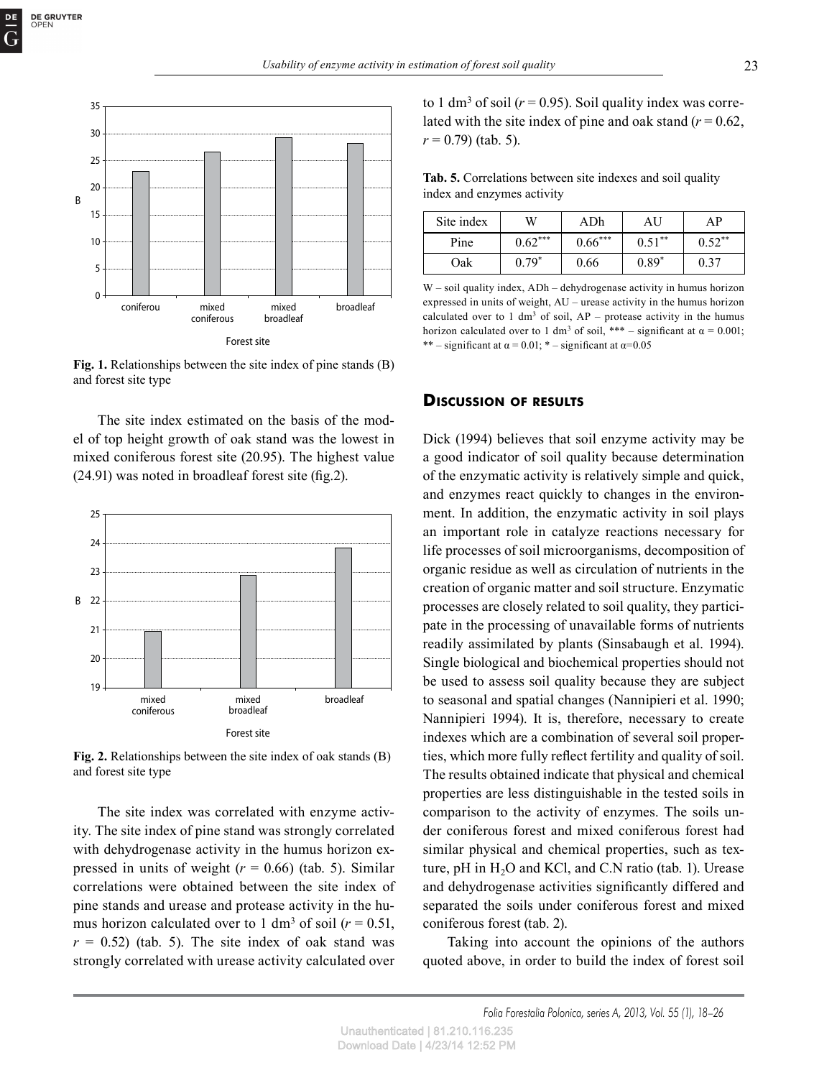

**Fig. 1.** Relationships between the site index of pine stands (B) and forest site type

The site index estimated on the basis of the model of top height growth of oak stand was the lowest in mixed coniferous forest site (20.95). The highest value (24.91) was noted in broadleaf forest site (fig.2).



**Fig. 2.** Relationships between the site index of oak stands (B) and forest site type

The site index was correlated with enzyme activity. The site index of pine stand was strongly correlated with dehydrogenase activity in the humus horizon expressed in units of weight  $(r = 0.66)$  (tab. 5). Similar correlations were obtained between the site index of pine stands and urease and protease activity in the humus horizon calculated over to 1 dm<sup>3</sup> of soil ( $r = 0.51$ ,  $r = 0.52$ ) (tab. 5). The site index of oak stand was strongly correlated with urease activity calculated over

to 1 dm<sup>3</sup> of soil ( $r = 0.95$ ). Soil quality index was correlated with the site index of pine and oak stand  $(r = 0.62)$ , *r* = 0.79) (tab. 5).

**Tab. 5.** Correlations between site indexes and soil quality index and enzymes activity

| Site index | W         | ADh       | AU        | АP       |
|------------|-----------|-----------|-----------|----------|
| Pine       | $0.62***$ | $0.66***$ | $0.51***$ | $0.52**$ |
| Oak        | $0.79*$   | 0.66      | $0.89*$   | 0.37     |

W – soil quality index, ADh – dehydrogenase activity in humus horizon expressed in units of weight, AU – urease activity in the humus horizon calculated over to 1  $dm<sup>3</sup>$  of soil,  $AP -$  protease activity in the humus horizon calculated over to 1 dm<sup>3</sup> of soil, \*\*\* – significant at  $\alpha = 0.001$ ; \*\* – significant at  $\alpha$  = 0.01; \* – significant at  $\alpha$ =0.05

## **Discussion of results**

Dick (1994) believes that soil enzyme activity may be a good indicator of soil quality because determination of the enzymatic activity is relatively simple and quick, and enzymes react quickly to changes in the environment. In addition, the enzymatic activity in soil plays an important role in catalyze reactions necessary for life processes of soil microorganisms, decomposition of organic residue as well as circulation of nutrients in the creation of organic matter and soil structure. Enzymatic processes are closely related to soil quality, they participate in the processing of unavailable forms of nutrients readily assimilated by plants (Sinsabaugh et al. 1994). Single biological and biochemical properties should not be used to assess soil quality because they are subject to seasonal and spatial changes (Nannipieri et al. 1990; Nannipieri 1994). It is, therefore, necessary to create indexes which are a combination of several soil properties, which more fully reflect fertility and quality of soil. The results obtained indicate that physical and chemical properties are less distinguishable in the tested soils in comparison to the activity of enzymes. The soils under coniferous forest and mixed coniferous forest had similar physical and chemical properties, such as texture, pH in  $H<sub>2</sub>O$  and KCl, and C.N ratio (tab. 1). Urease and dehydrogenase activities significantly differed and separated the soils under coniferous forest and mixed coniferous forest (tab. 2).

Taking into account the opinions of the authors quoted above, in order to build the index of forest soil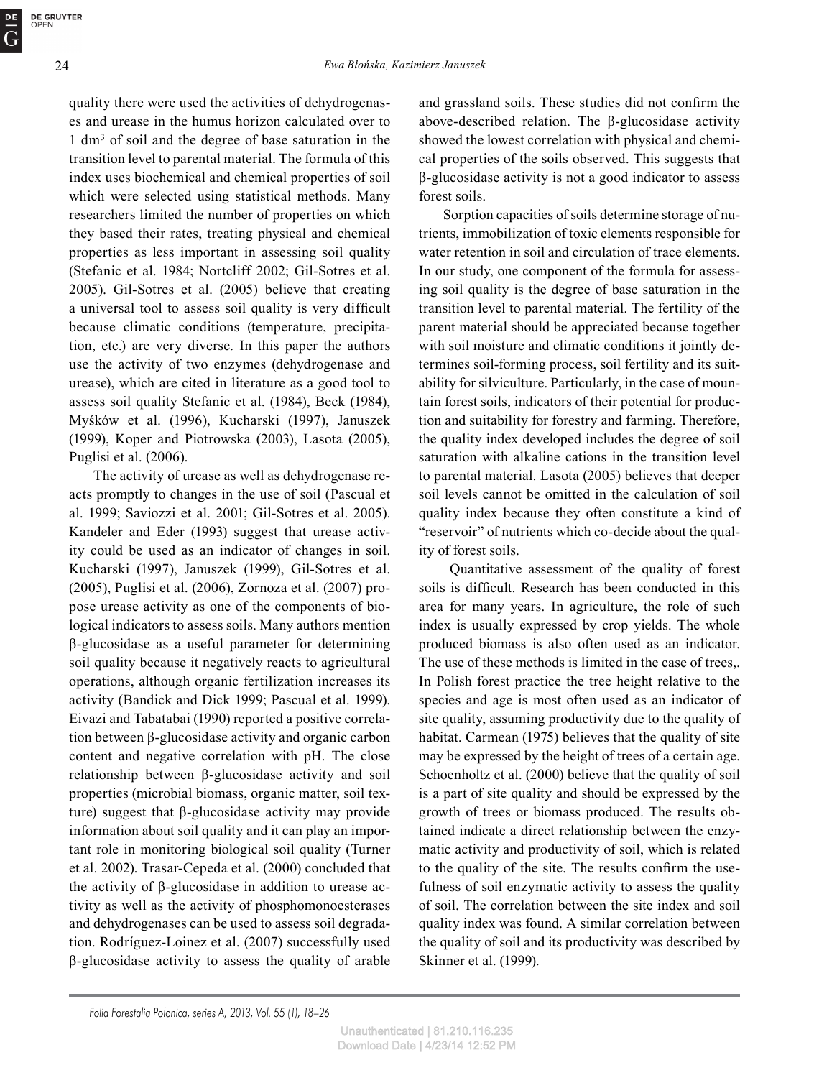quality there were used the activities of dehydrogenases and urease in the humus horizon calculated over to 1 dm3 of soil and the degree of base saturation in the transition level to parental material. The formula of this index uses biochemical and chemical properties of soil which were selected using statistical methods. Many researchers limited the number of properties on which they based their rates, treating physical and chemical properties as less important in assessing soil quality (Stefanic et al. 1984; Nortcliff 2002; Gil-Sotres et al. 2005). Gil-Sotres et al. (2005) believe that creating a universal tool to assess soil quality is very difficult because climatic conditions (temperature, precipitation, etc.) are very diverse. In this paper the authors use the activity of two enzymes (dehydrogenase and urease), which are cited in literature as a good tool to assess soil quality Stefanic et al. (1984), Beck (1984), Myśków et al. (1996), Kucharski (1997), Januszek (1999), Koper and Piotrowska (2003), Lasota (2005), Puglisi et al. (2006).

The activity of urease as well as dehydrogenase reacts promptly to changes in the use of soil (Pascual et al. 1999; Saviozzi et al. 2001; Gil-Sotres et al. 2005). Kandeler and Eder (1993) suggest that urease activity could be used as an indicator of changes in soil. Kucharski (1997), Januszek (1999), Gil-Sotres et al. (2005), Puglisi et al. (2006), Zornoza et al. (2007) propose urease activity as one of the components of biological indicators to assess soils. Many authors mention β-glucosidase as a useful parameter for determining soil quality because it negatively reacts to agricultural operations, although organic fertilization increases its activity (Bandick and Dick 1999; Pascual et al. 1999). Eivazi and Tabatabai (1990) reported a positive correlation between β-glucosidase activity and organic carbon content and negative correlation with pH. The close relationship between β-glucosidase activity and soil properties (microbial biomass, organic matter, soil texture) suggest that β-glucosidase activity may provide information about soil quality and it can play an important role in monitoring biological soil quality (Turner et al. 2002). Trasar-Cepeda et al. (2000) concluded that the activity of β-glucosidase in addition to urease activity as well as the activity of phosphomonoesterases and dehydrogenases can be used to assess soil degradation. Rodríguez-Loinez et al. (2007) successfully used β-glucosidase activity to assess the quality of arable

and grassland soils. These studies did not confirm the above-described relation. The β-glucosidase activity showed the lowest correlation with physical and chemical properties of the soils observed. This suggests that β-glucosidase activity is not a good indicator to assess forest soils.

Sorption capacities of soils determine storage of nutrients, immobilization of toxic elements responsible for water retention in soil and circulation of trace elements. In our study, one component of the formula for assessing soil quality is the degree of base saturation in the transition level to parental material. The fertility of the parent material should be appreciated because together with soil moisture and climatic conditions it jointly determines soil-forming process, soil fertility and its suitability for silviculture. Particularly, in the case of mountain forest soils, indicators of their potential for production and suitability for forestry and farming. Therefore, the quality index developed includes the degree of soil saturation with alkaline cations in the transition level to parental material. Lasota (2005) believes that deeper soil levels cannot be omitted in the calculation of soil quality index because they often constitute a kind of "reservoir" of nutrients which co-decide about the quality of forest soils.

 Quantitative assessment of the quality of forest soils is difficult. Research has been conducted in this area for many years. In agriculture, the role of such index is usually expressed by crop yields. The whole produced biomass is also often used as an indicator. The use of these methods is limited in the case of trees,. In Polish forest practice the tree height relative to the species and age is most often used as an indicator of site quality, assuming productivity due to the quality of habitat. Carmean (1975) believes that the quality of site may be expressed by the height of trees of a certain age. Schoenholtz et al. (2000) believe that the quality of soil is a part of site quality and should be expressed by the growth of trees or biomass produced. The results obtained indicate a direct relationship between the enzymatic activity and productivity of soil, which is related to the quality of the site. The results confirm the usefulness of soil enzymatic activity to assess the quality of soil. The correlation between the site index and soil quality index was found. A similar correlation between the quality of soil and its productivity was described by Skinner et al. (1999).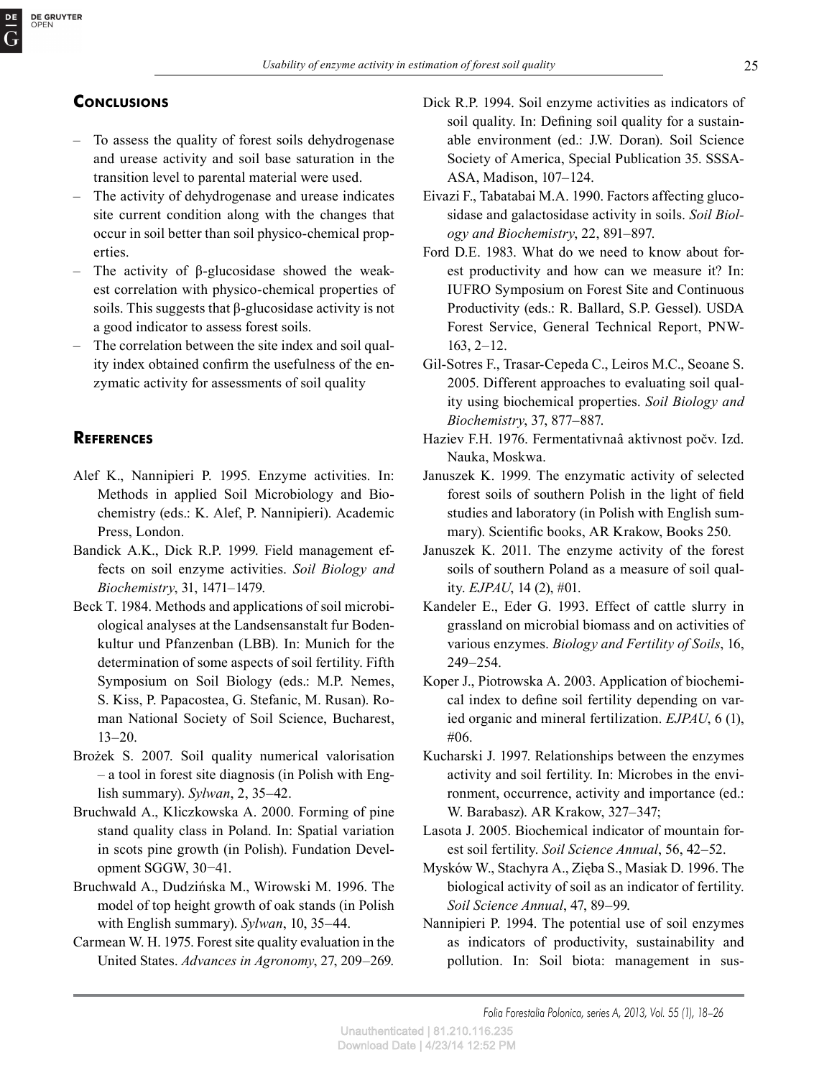- To assess the quality of forest soils dehydrogenase and urease activity and soil base saturation in the transition level to parental material were used.
- The activity of dehydrogenase and urease indicates site current condition along with the changes that occur in soil better than soil physico-chemical properties.
- The activity of β-glucosidase showed the weakest correlation with physico-chemical properties of soils. This suggests that β-glucosidase activity is not a good indicator to assess forest soils.
- The correlation between the site index and soil quality index obtained confirm the usefulness of the enzymatic activity for assessments of soil quality

## **References**

**Conclusions**

- Alef K., Nannipieri P. 1995. Enzyme activities. In: Methods in applied Soil Microbiology and Biochemistry (eds.: K. Alef, P. Nannipieri). Academic Press, London.
- Bandick A.K., Dick R.P. 1999. Field management effects on soil enzyme activities. *Soil Biology and Biochemistry*, 31, 1471–1479.
- Beck T. 1984. Methods and applications of soil microbiological analyses at the Landsensanstalt fur Bodenkultur und Pfanzenban (LBB). In: Munich for the determination of some aspects of soil fertility. Fifth Symposium on Soil Biology (eds.: M.P. Nemes, S. Kiss, P. Papacostea, G. Stefanic, M. Rusan). Roman National Society of Soil Science, Bucharest, 13–20.
- Brożek S. 2007. Soil quality numerical valorisation – a tool in forest site diagnosis (in Polish with English summary). *Sylwan*, 2, 35–42.
- Bruchwald A., Kliczkowska A. 2000. Forming of pine stand quality class in Poland. In: Spatial variation in scots pine growth (in Polish). Fundation Development SGGW, 30−41.
- Bruchwald A., Dudzińska M., Wirowski M. 1996. The model of top height growth of oak stands (in Polish with English summary). *Sylwan*, 10, 35–44.
- Carmean W. H. 1975. Forest site quality evaluation in the United States. *Advances in Agronomy*, 27, 209–269.
- Dick R.P. 1994. Soil enzyme activities as indicators of soil quality. In: Defining soil quality for a sustainable environment (ed.: J.W. Doran). Soil Science Society of America, Special Publication 35. SSSA-ASA, Madison, 107–124.
- Eivazi F., Tabatabai M.A. 1990. Factors affecting glucosidase and galactosidase activity in soils. *Soil Biology and Biochemistry*, 22, 891–897.
- Ford D.E. 1983. What do we need to know about forest productivity and how can we measure it? In: IUFRO Symposium on Forest Site and Continuous Productivity (eds.: R. Ballard, S.P. Gessel). USDA Forest Service, General Technical Report, PNW-163, 2–12.
- Gil-Sotres F., Trasar-Cepeda C., Leiros M.C., Seoane S. 2005. Different approaches to evaluating soil quality using biochemical properties. *Soil Biology and Biochemistry*, 37, 877–887.
- Haziev F.H. 1976. Fermentativnaâ aktivnost počv. Izd. Nauka, Moskwa.
- Januszek K. 1999. The enzymatic activity of selected forest soils of southern Polish in the light of field studies and laboratory (in Polish with English summary). Scientific books, AR Krakow, Books 250.
- Januszek K. 2011. The enzyme activity of the forest soils of southern Poland as a measure of soil quality. *EJPAU*, 14 (2), #01.
- Kandeler E., Eder G. 1993. Effect of cattle slurry in grassland on microbial biomass and on activities of various enzymes. *Biology and Fertility of Soils*, 16, 249–254.
- Koper J., Piotrowska A. 2003. Application of biochemical index to define soil fertility depending on varied organic and mineral fertilization. *EJPAU*, 6 (1), #06.
- Kucharski J. 1997. Relationships between the enzymes activity and soil fertility. In: Microbes in the environment, occurrence, activity and importance (ed.: W. Barabasz). AR Krakow, 327–347;
- Lasota J. 2005. Biochemical indicator of mountain forest soil fertility. *Soil Science Annual*, 56, 42–52.
- Mysków W., Stachyra A., Zięba S., Masiak D. 1996. The biological activity of soil as an indicator of fertility. *Soil Science Annual*, 47, 89–99.
- Nannipieri P. 1994. The potential use of soil enzymes as indicators of productivity, sustainability and pollution. In: Soil biota: management in sus-